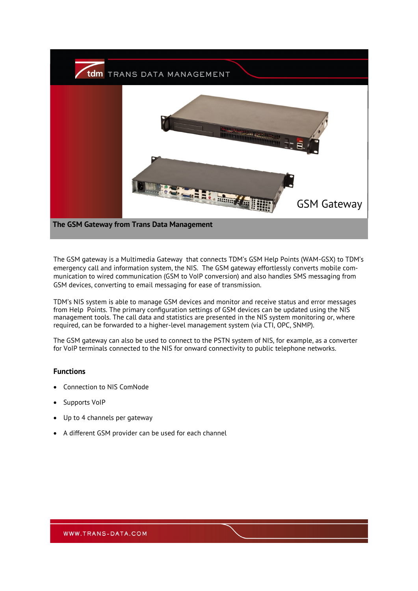

The GSM gateway is a Multimedia Gateway that connects TDM's GSM Help Points (WAM-GSX) to TDM's emergency call and information system, the NIS. The GSM gateway effortlessly converts mobile communication to wired communication (GSM to VoIP conversion) and also handles SMS messaging from GSM devices, converting to email messaging for ease of transmission.

TDM's NIS system is able to manage GSM devices and monitor and receive status and error messages from Help Points. The primary configuration settings of GSM devices can be updated using the NIS management tools. The call data and statistics are presented in the NIS system monitoring or, where required, can be forwarded to a higher-level management system (via CTI, OPC, SNMP).

The GSM gateway can also be used to connect to the PSTN system of NIS, for example, as a converter for VoIP terminals connected to the NIS for onward connectivity to public telephone networks.

## **Functions**

- Connection to NIS ComNode
- Supports VoIP
- Up to 4 channels per gateway
- A different GSM provider can be used for each channel